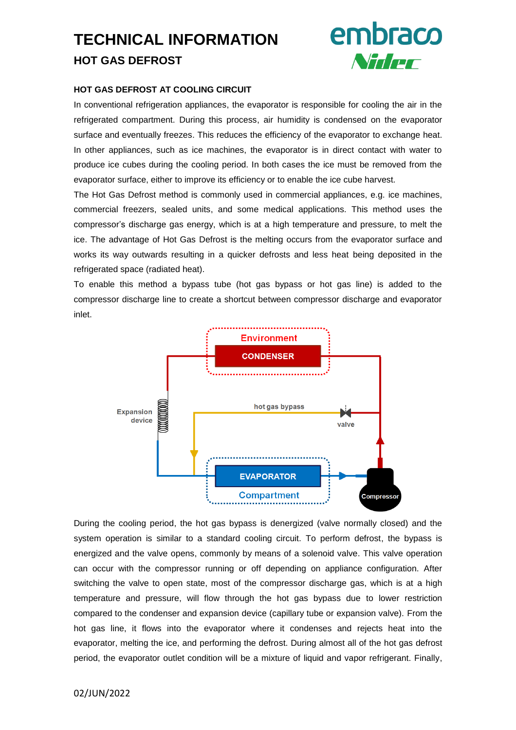# **TECHNICAL INFORMATION HOT GAS DEFROST**



# **HOT GAS DEFROST AT COOLING CIRCUIT**

In conventional refrigeration appliances, the evaporator is responsible for cooling the air in the refrigerated compartment. During this process, air humidity is condensed on the evaporator surface and eventually freezes. This reduces the efficiency of the evaporator to exchange heat. In other appliances, such as ice machines, the evaporator is in direct contact with water to produce ice cubes during the cooling period. In both cases the ice must be removed from the evaporator surface, either to improve its efficiency or to enable the ice cube harvest.

The Hot Gas Defrost method is commonly used in commercial appliances, e.g. ice machines, commercial freezers, sealed units, and some medical applications. This method uses the compressor's discharge gas energy, which is at a high temperature and pressure, to melt the ice. The advantage of Hot Gas Defrost is the melting occurs from the evaporator surface and works its way outwards resulting in a quicker defrosts and less heat being deposited in the refrigerated space (radiated heat).

To enable this method a bypass tube (hot gas bypass or hot gas line) is added to the compressor discharge line to create a shortcut between compressor discharge and evaporator inlet.



During the cooling period, the hot gas bypass is denergized (valve normally closed) and the system operation is similar to a standard cooling circuit. To perform defrost, the bypass is energized and the valve opens, commonly by means of a solenoid valve. This valve operation can occur with the compressor running or off depending on appliance configuration. After switching the valve to open state, most of the compressor discharge gas, which is at a high temperature and pressure, will flow through the hot gas bypass due to lower restriction compared to the condenser and expansion device (capillary tube or expansion valve). From the hot gas line, it flows into the evaporator where it condenses and rejects heat into the evaporator, melting the ice, and performing the defrost. During almost all of the hot gas defrost period, the evaporator outlet condition will be a mixture of liquid and vapor refrigerant. Finally,

# 02/JUN/2022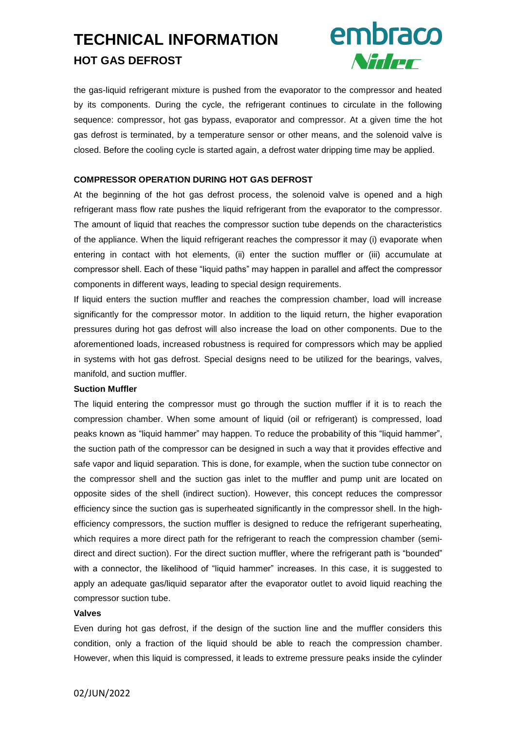# **TECHNICAL INFORMATION HOT GAS DEFROST**



the gas-liquid refrigerant mixture is pushed from the evaporator to the compressor and heated by its components. During the cycle, the refrigerant continues to circulate in the following sequence: compressor, hot gas bypass, evaporator and compressor. At a given time the hot gas defrost is terminated, by a temperature sensor or other means, and the solenoid valve is closed. Before the cooling cycle is started again, a defrost water dripping time may be applied.

## **COMPRESSOR OPERATION DURING HOT GAS DEFROST**

At the beginning of the hot gas defrost process, the solenoid valve is opened and a high refrigerant mass flow rate pushes the liquid refrigerant from the evaporator to the compressor. The amount of liquid that reaches the compressor suction tube depends on the characteristics of the appliance. When the liquid refrigerant reaches the compressor it may (i) evaporate when entering in contact with hot elements, (ii) enter the suction muffler or (iii) accumulate at compressor shell. Each of these "liquid paths" may happen in parallel and affect the compressor components in different ways, leading to special design requirements.

If liquid enters the suction muffler and reaches the compression chamber, load will increase significantly for the compressor motor. In addition to the liquid return, the higher evaporation pressures during hot gas defrost will also increase the load on other components. Due to the aforementioned loads, increased robustness is required for compressors which may be applied in systems with hot gas defrost. Special designs need to be utilized for the bearings, valves, manifold, and suction muffler.

### **Suction Muffler**

The liquid entering the compressor must go through the suction muffler if it is to reach the compression chamber. When some amount of liquid (oil or refrigerant) is compressed, load peaks known as "liquid hammer" may happen. To reduce the probability of this "liquid hammer", the suction path of the compressor can be designed in such a way that it provides effective and safe vapor and liquid separation. This is done, for example, when the suction tube connector on the compressor shell and the suction gas inlet to the muffler and pump unit are located on opposite sides of the shell (indirect suction). However, this concept reduces the compressor efficiency since the suction gas is superheated significantly in the compressor shell. In the highefficiency compressors, the suction muffler is designed to reduce the refrigerant superheating, which requires a more direct path for the refrigerant to reach the compression chamber (semidirect and direct suction). For the direct suction muffler, where the refrigerant path is "bounded" with a connector, the likelihood of "liquid hammer" increases. In this case, it is suggested to apply an adequate gas/liquid separator after the evaporator outlet to avoid liquid reaching the compressor suction tube.

#### **Valves**

Even during hot gas defrost, if the design of the suction line and the muffler considers this condition, only a fraction of the liquid should be able to reach the compression chamber. However, when this liquid is compressed, it leads to extreme pressure peaks inside the cylinder